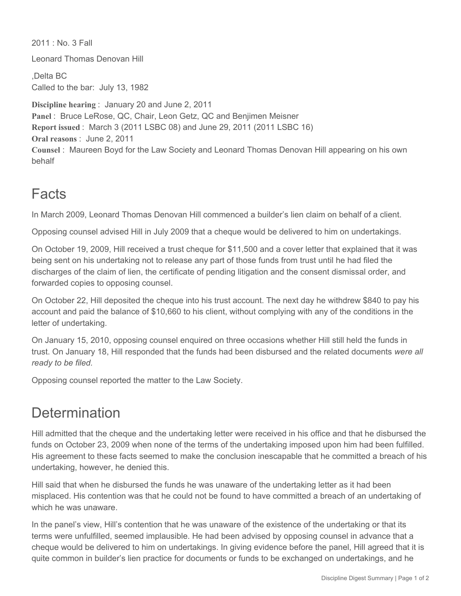2011 : No. 3 Fall

Leonard Thomas Denovan Hill

,Delta BC Called to the bar: July 13, 1982

**Discipline hearing** : January 20 and June 2, 2011 **Panel** : Bruce LeRose, QC, Chair, Leon Getz, QC and Benjimen Meisner **Report issued** : March 3 (2011 LSBC 08) and June 29, 2011 (2011 LSBC 16) **Oral reasons** : June 2, 2011 **Counsel** : Maureen Boyd for the Law Society and Leonard Thomas Denovan Hill appearing on his own behalf

## Facts

In March 2009, Leonard Thomas Denovan Hill commenced a builder's lien claim on behalf of a client.

Opposing counsel advised Hill in July 2009 that a cheque would be delivered to him on undertakings.

On October 19, 2009, Hill received a trust cheque for \$11,500 and a cover letter that explained that it was being sent on his undertaking not to release any part of those funds from trust until he had filed the discharges of the claim of lien, the certificate of pending litigation and the consent dismissal order, and forwarded copies to opposing counsel.

On October 22, Hill deposited the cheque into his trust account. The next day he withdrew \$840 to pay his account and paid the balance of \$10,660 to his client, without complying with any of the conditions in the letter of undertaking.

On January 15, 2010, opposing counsel enquired on three occasions whether Hill still held the funds in trust. On January 18, Hill responded that the funds had been disbursed and the related documents *were all ready to be filed.*

Opposing counsel reported the matter to the Law Society.

## **Determination**

Hill admitted that the cheque and the undertaking letter were received in his office and that he disbursed the funds on October 23, 2009 when none of the terms of the undertaking imposed upon him had been fulfilled. His agreement to these facts seemed to make the conclusion inescapable that he committed a breach of his undertaking, however, he denied this.

Hill said that when he disbursed the funds he was unaware of the undertaking letter as it had been misplaced. His contention was that he could not be found to have committed a breach of an undertaking of which he was unaware.

In the panel's view, Hill's contention that he was unaware of the existence of the undertaking or that its terms were unfulfilled, seemed implausible. He had been advised by opposing counsel in advance that a cheque would be delivered to him on undertakings. In giving evidence before the panel, Hill agreed that it is quite common in builder's lien practice for documents or funds to be exchanged on undertakings, and he